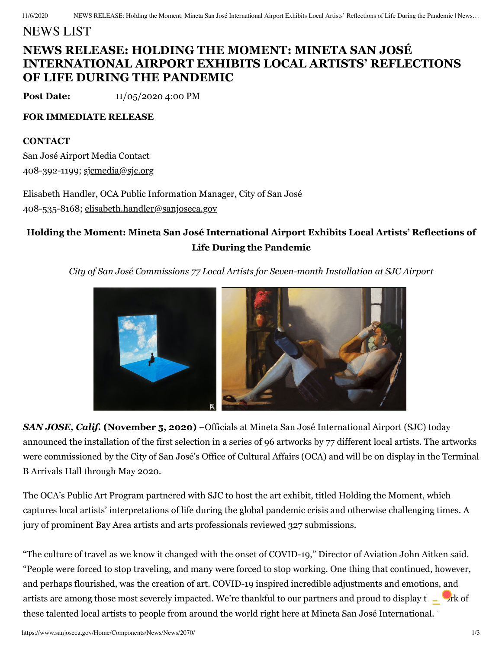## NEWS LIST

# **NEWS RELEASE: HOLDING THE MOMENT: MINETA SAN JOSÉ INTERNATIONAL AIRPORT EXHIBITS LOCAL ARTISTS' REFLECTIONS OF LIFE DURING THE PANDEMIC**

**Post Date:** 11/05/2020 4:00 PM

### **FOR IMMEDIATE RELEASE**

### **CONTACT**

San José Airport Media Contact 408-392-1199; [sjcmedia@sjc.org](mailto:sjcmedia@sjc.org)

Elisabeth Handler, OCA Public Information Manager, City of San José 408-535-8168; [elisabeth.handler@sanjoseca.gov](mailto:elisabeth.handler@sanjoseca.gov)

### **Holding the Moment: Mineta San José International Airport Exhibits Local Artists' Reflections of Life During the Pandemic**

*City of San José Commissions 77 Local Artists for Seven-month Installation at SJC Airport*



*SAN JOSE, Calif.* **(November 5, 2020)** –Officials at Mineta San José International Airport (SJC) today announced the installation of the first selection in a series of 96 artworks by 77 different local artists. The artworks were commissioned by the City of San José's Office of Cultural Affairs (OCA) and will be on display in the Terminal B Arrivals Hall through May 2020.

The OCA's Public Art Program partnered with SJC to host the art exhibit, titled Holding the Moment, which captures local artists' interpretations of life during the global pandemic crisis and otherwise challenging times. A jury of prominent Bay Area artists and arts professionals reviewed 327 submissions.

"The culture of travel as we know it changed with the onset of COVID-19," Director of Aviation John Aitken said. "People were forced to stop traveling, and many were forced to stop working. One thing that continued, however, and perhaps flourished, was the creation of art. COVID-19 inspired incredible adjustments and emotions, and artists are among those most severely impacted. We're thankful to our partners and proud to display  $t - \frac{1}{2}$ rk of these talented local artists to people from around the world right here at Mineta San José International."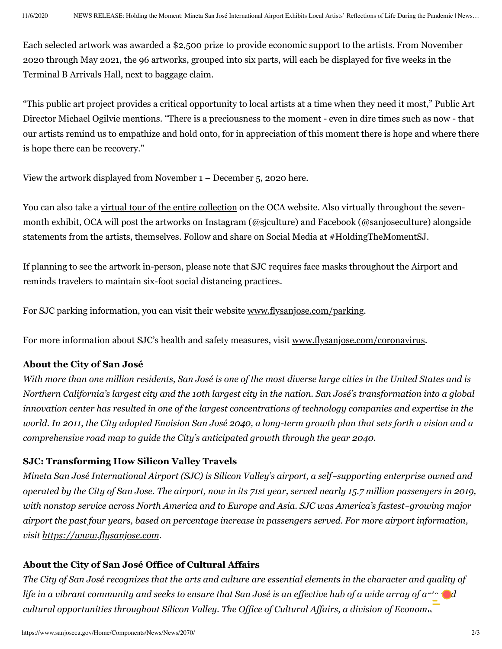Each selected artwork was awarded a \$2,500 prize to provide economic support to the artists. From November 2020 through May 2021, the 96 artworks, grouped into six parts, will each be displayed for five weeks in the Terminal B Arrivals Hall, next to baggage claim.

"This public art project provides a critical opportunity to local artists at a time when they need it most," Public Art Director Michael Ogilvie mentions. "There is a preciousness to the moment - even in dire times such as now - that our artists remind us to empathize and hold onto, for in appreciation of this moment there is hope and where there is hope there can be recovery."

View the artwork displayed from [November](https://www.sanjoseca.gov/home/showdocument?id=66197) 1 – December 5, 2020 here.

You can also take a virtual tour of the entire [collection](https://www.sanjoseca.gov/your-government/departments-offices/cultural-affairs/public-art/holding-the-moment) on the OCA website. Also virtually throughout the sevenmonth exhibit, OCA will post the artworks on Instagram (@sjculture) and Facebook (@sanjoseculture) alongside statements from the artists, themselves. Follow and share on Social Media at #HoldingTheMomentSJ.

If planning to see the artwork in-person, please note that SJC requires face masks throughout the Airport and reminds travelers to maintain six-foot social distancing practices.

For SJC parking information, you can visit their website [www.flysanjose.com/parking.](https://www.flysanjose.com/parking)

For more information about SJC's health and safety measures, visit [www.flysanjose.com/coronavirus](https://www.flysanjose.com/coronavirus).

### **About the City of San José**

With more than one million residents, San José is one of the most diverse large cities in the United States and is Northern California's largest city and the 10th largest city in the nation. San José's transformation into a global innovation center has resulted in one of the largest concentrations of technology companies and expertise in the world. In 2011, the City adopted Envision San José 2040, a long-term growth plan that sets forth a vision and a *comprehensive road map to guide the City's anticipated growth through the year 2040.*

### **SJC: Transforming How Silicon Valley Travels**

*Mineta San José International Airport (SJC) is Silicon Valley's airport, a self*-*supporting enterprise owned and* operated by the City of San Jose. The airport, now in its 71st year, served nearly 15.7 million passengers in 2019, *with nonstop service across North America and to Europe and Asia. SJC was America's fastest*-*growing major airport the past four years, based on percentage increase in passengers served. For more airport information, visit [https://www.flysanjose.com.](https://www.flysanjose.com/)*

### **About the City of San José Office of Cultural Affairs**

The City of San José recognizes that the arts and culture are essential elements in the character and quality of life in a vibrant community and seeks to ensure that San José is an effective hub of a wide array of  $a^{++}$ *cultural opportunities throughout Silicon Valley. The Of ice of Cultural Af airs, a division of Economic*